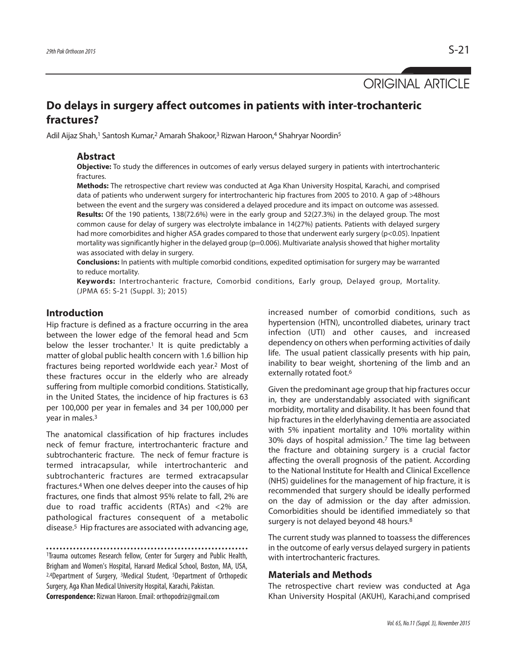ORIGINAL ARTICLE

# **Do delays in surgery affect outcomes in patients with inter-trochanteric fractures?**

Adil Aijaz Shah,<sup>1</sup> Santosh Kumar,<sup>2</sup> Amarah Shakoor,<sup>3</sup> Rizwan Haroon,<sup>4</sup> Shahryar Noordin<sup>5</sup>

### **Abstract**

**Objective:** To study the differences in outcomes of early versus delayed surgery in patients with intertrochanteric fractures.

**Methods:** The retrospective chart review was conducted at Aga Khan University Hospital, Karachi, and comprised data of patients who underwent surgery for intertrochanteric hip fractures from 2005 to 2010. A gap of >48hours between the event and the surgery was considered a delayed procedure and its impact on outcome was assessed. **Results:** Of the 190 patients, 138(72.6%) were in the early group and 52(27.3%) in the delayed group. The most common cause for delay of surgery was electrolyte imbalance in 14(27%) patients. Patients with delayed surgery had more comorbidites and higher ASA grades compared to those that underwent early surgery (p<0.05). Inpatient mortality was significantly higher in the delayed group ( $p=0.006$ ). Multivariate analysis showed that higher mortality was associated with delay in surgery.

**Conclusions:** In patients with multiple comorbid conditions, expedited optimisation for surgery may be warranted to reduce mortality.

**Keywords:** Intertrochanteric fracture, Comorbid conditions, Early group, Delayed group, Mortality. (JPMA 65: S-21 (Suppl. 3); 2015)

## **Introduction**

Hip fracture is defined as a fracture occurring in the area between the lower edge of the femoral head and 5cm below the lesser trochanter. <sup>1</sup> It is quite predictably a matter of global public health concern with 1.6 billion hip fractures being reported worldwide each year. <sup>2</sup> Most of these fractures occur in the elderly who are already suffering from multiple comorbid conditions. Statistically, in the United States, the incidence of hip fractures is 63 per 100,000 per year in females and 34 per 100,000 per year in males. 3

The anatomical classification of hip fractures includes neck of femur fracture, intertrochanteric fracture and subtrochanteric fracture. The neck of femur fracture is termed intracapsular, while intertrochanteric and subtrochanteric fractures are termed extracapsular fractures. <sup>4</sup> When one delves deeper into the causes of hip fractures, one finds that almost 95% relate to fall, 2% are due to road traffic accidents (RTAs) and <2% are pathological fractures consequent of a metabolic disease. <sup>5</sup> Hip fractures are associated with advancing age,

1Trauma outcomes Research fellow, Center for Surgery and Public Health, Brigham and Women's Hospital, Harvard Medical School, Boston, MA, USA, 2,4Department of Surgery, 3Medical Student, 5Department of Orthopedic Surgery, Aga Khan Medical University Hospital, Karachi, Pakistan. **Correspondence:** Rizwan Haroon.Email:orthopodriz@gmail.com

increased number of comorbid conditions, such as hypertension (HTN), uncontrolled diabetes, urinary tract infection (UTI) and other causes, and increased dependency on others when performing activities of daily life. The usual patient classically presents with hip pain, inability to bear weight, shortening of the limb and an externally rotated foot. 6

Given the predominant age group that hip fractures occur in, they are understandably associated with significant morbidity, mortality and disability. It has been found that hip fractures in the elderlyhaving dementia are associated with 5% inpatient mortality and 10% mortality within 30% days of hospital admission. <sup>7</sup> The time lag between the fracture and obtaining surgery is a crucial factor affecting the overall prognosis of the patient. According to the National Institute for Health and Clinical Excellence (NHS) guidelines for the management of hip fracture, it is recommended that surgery should be ideally performed on the day of admission or the day after admission. Comorbidities should be identified immediately so that surgery is not delayed beyond 48 hours.<sup>8</sup>

The current study was planned to toassess the differences in the outcome of early versus delayed surgery in patients with intertrochanteric fractures.

### **Materials and Methods**

The retrospective chart review was conducted at Aga Khan University Hospital (AKUH), Karachi,and comprised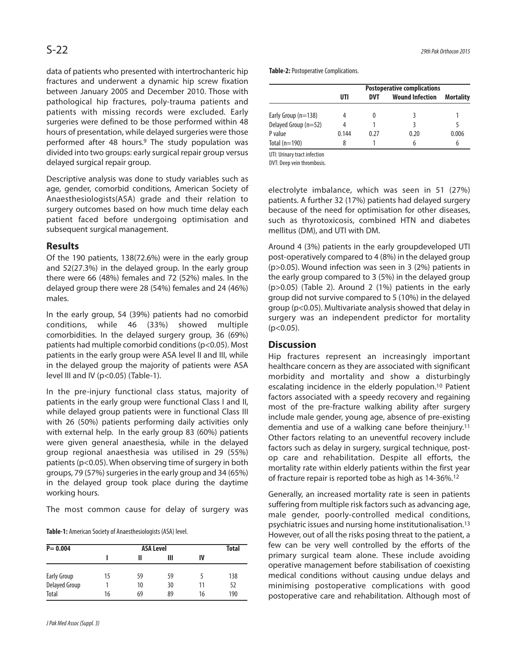data of patients who presented with intertrochanteric hip fractures and underwent a dynamic hip screw fixation between January 2005 and December 2010. Those with pathological hip fractures, poly-trauma patients and patients with missing records were excluded. Early surgeries were defined to be those performed within 48 hours of presentation, while delayed surgeries were those performed after 48 hours. <sup>9</sup> The study population was divided into two groups: early surgical repair group versus delayed surgical repair group.

Descriptive analysis was done to study variables such as age, gender, comorbid conditions, American Society of Anaesthesiologists(ASA) grade and their relation to surgery outcomes based on how much time delay each patient faced before undergoing optimisation and subsequent surgical management.

# **Results**

Of the 190 patients, 138(72.6%) were in the early group and 52(27.3%) in the delayed group. In the early group there were 66 (48%) females and 72 (52%) males. In the delayed group there were 28 (54%) females and 24 (46%) males.

In the early group, 54 (39%) patients had no comorbid conditions, while 46 (33%) showed multiple comorbidities. In the delayed surgery group, 36 (69%) patients had multiple comorbid conditions(p<0.05). Most patients in the early group were ASA level II and III, while in the delayed group the majority of patients were ASA level III and IV (p<0.05) (Table-1).

In the pre-injury functional class status, majority of patients in the early group were functional Class I and II, while delayed group patients were in functional Class III with 26 (50%) patients performing daily activities only with external help. In the early group 83 (60%) patients were given general anaesthesia, while in the delayed group regional anaesthesia was utilised in 29 (55%) patients ( $p$ <0.05). When observing time of surgery in both groups, 79 (57%) surgeries in the early group and 34 (65%) in the delayed group took place during the daytime working hours.

The most common cause for delay of surgery was

Table-1: American Society of Anaesthesiologists (ASA) level.

| $P = 0.004$        |    | Total |    |    |     |
|--------------------|----|-------|----|----|-----|
|                    |    | Ш     | Ш  | IV |     |
| <b>Early Group</b> | 15 | 59    | 59 |    | 138 |
| Delayed Group      |    | 10    | 30 | 11 | 52  |
| Total              | 16 | 69    | 89 | 16 | 190 |

**Table-2: Postoperative Complications.** 

|                       | <b>Postoperative complications</b> |            |                        |                  |  |  |
|-----------------------|------------------------------------|------------|------------------------|------------------|--|--|
|                       | UTI                                | <b>DVT</b> | <b>Wound Infection</b> | <b>Mortality</b> |  |  |
| Early Group $(n=138)$ | 4                                  |            |                        |                  |  |  |
| Delayed Group (n=52)  | 4                                  |            | ξ                      | 5                |  |  |
| P value               | 0.144                              | 0.27       | 0.20                   | 0.006            |  |  |
| Total $(n=190)$       | 8                                  |            | h                      | 6                |  |  |

UTI: Urinary tract infection

DVT: Deep vein thrombosis.

electrolyte imbalance, which was seen in 51 (27%) patients. A further 32 (17%) patients had delayed surgery because of the need for optimisation for other diseases, such as thyrotoxicosis, combined HTN and diabetes mellitus (DM), and UTI with DM.

Around 4 (3%) patients in the early groupdeveloped UTI post-operatively compared to 4 (8%) in the delayed group (p>0.05). Wound infection was seen in 3 (2%) patients in the early group compared to 3 (5%) in the delayed group (p>0.05) (Table 2). Around 2 (1%) patients in the early group did not survive compared to 5 (10%) in the delayed group (p<0.05). Multivariate analysis showed that delay in surgery was an independent predictor for mortality  $(p<0.05)$ .

# **Discussion**

Hip fractures represent an increasingly important healthcare concern as they are associated with significant morbidity and mortality and show a disturbingly escalating incidence in the elderly population. <sup>10</sup> Patient factors associated with a speedy recovery and regaining most of the pre-fracture walking ability after surgery include male gender, young age, absence of pre-existing dementia and use of a walking cane before theinjury. 11 Other factors relating to an uneventful recovery include factors such as delay in surgery, surgical technique, postop care and rehabilitation. Despite all efforts, the mortality rate within elderly patients within the first year of fracture repair is reported tobe as high as 14-36%. 12

Generally, an increased mortality rate is seen in patients suffering from multiple risk factors such as advancing age, male gender, poorly-controlled medical conditions, psychiatric issues and nursing home institutionalisation. 13 However, out of all the risks posing threat to the patient, a few can be very well controlled by the efforts of the primary surgical team alone. These include avoiding operative management before stabilisation of coexisting medical conditions without causing undue delays and minimising postoperative complications with good postoperative care and rehabilitation. Although most of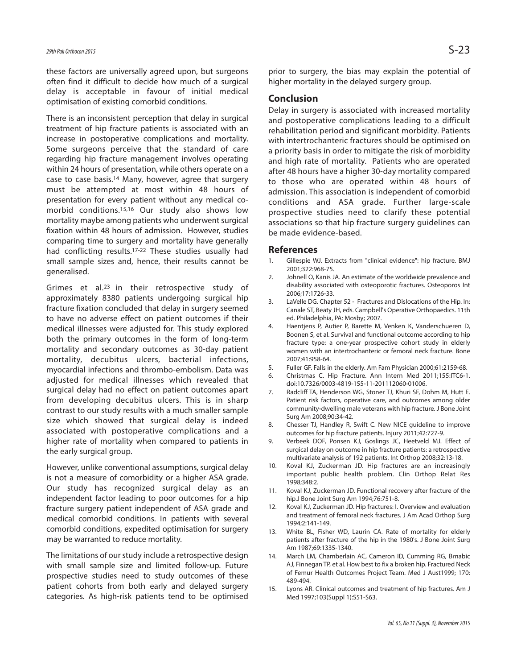these factors are universally agreed upon, but surgeons often find it difficult to decide how much of a surgical delay is acceptable in favour of initial medical optimisation of existing comorbid conditions.

There is an inconsistent perception that delay in surgical treatment of hip fracture patients is associated with an increase in postoperative complications and mortality. Some surgeons perceive that the standard of care regarding hip fracture management involves operating within 24 hours of presentation, while others operate on a case to case basis. <sup>14</sup> Many, however, agree that surgery must be attempted at most within 48 hours of presentation for every patient without any medical comorbid conditions. 15,16 Our study also shows low mortality maybe among patients who underwent surgical fixation within 48 hours of admission. However, studies comparing time to surgery and mortality have generally had conflicting results. 17-22 These studies usually had small sample sizes and, hence, their results cannot be generalised.

Grimes et al.23 in their retrospective study of approximately 8380 patients undergoing surgical hip fracture fixation concluded that delay in surgery seemed to have no adverse effect on patient outcomes if their medical illnesses were adjusted for. This study explored both the primary outcomes in the form of long-term mortality and secondary outcomes as 30-day patient mortality, decubitus ulcers, bacterial infections, myocardial infections and thrombo-embolism. Data was adjusted for medical illnesses which revealed that surgical delay had no effect on patient outcomes apart from developing decubitus ulcers. This is in sharp contrast to our study results with a much smaller sample size which showed that surgical delay is indeed associated with postoperative complications and a higher rate of mortality when compared to patients in the early surgical group.

However, unlike conventional assumptions, surgical delay is not a measure of comorbidity or a higher ASA grade. Our study has recognized surgical delay as an independent factor leading to poor outcomes for a hip fracture surgery patient independent of ASA grade and medical comorbid conditions. In patients with several comorbid conditions, expedited optimisation for surgery may be warranted to reduce mortality.

The limitations of our study include a retrospective design with small sample size and limited follow-up. Future prospective studies need to study outcomes of these patient cohorts from both early and delayed surgery categories. As high-risk patients tend to be optimised prior to surgery, the bias may explain the potential of higher mortality in the delayed surgery group.

## **Conclusion**

Delay in surgery is associated with increased mortality and postoperative complications leading to a difficult rehabilitation period and significant morbidity. Patients with intertrochanteric fractures should be optimised on a priority basis in order to mitigate the risk of morbidity and high rate of mortality. Patients who are operated after 48 hours have a higher 30-day mortality compared to those who are operated within 48 hours of admission. This association is independent of comorbid conditions and ASA grade. Further large-scale prospective studies need to clarify these potential associations so that hip fracture surgery guidelines can be made evidence-based.

#### **References**

- 1. Gillespie WJ. Extracts from "clinical evidence": hip fracture. BMJ 2001;322:968-75.
- 2. Johnell O, Kanis JA. An estimate of the worldwide prevalence and disability associated with osteoporotic fractures. Osteoporos Int 2006;17:1726-33.
- 3. LaVelle DG. Chapter 52 Fractures and Dislocations of the Hip. In: Canale ST, Beaty JH, eds. Campbell's Operative Orthopaedics. 11th ed. Philadelphia, PA: Mosby; 2007.
- 4. Haentjens P, Autier P, Barette M, Venken K, Vanderschueren D, Boonen S, et al. Survival and functional outcome according to hip fracture type: a one-year prospective cohort study in elderly women with an intertrochanteric or femoral neck fracture. Bone 2007;41:958-64.
- 5. Fuller GF. Falls in the elderly. Am Fam Physician 2000;61:2159-68.
- 6. Christmas C. Hip Fracture. Ann Intern Med 2011;155:ITC6-1. doi:10.7326/0003-4819-155-11-201112060-01006.
- 7. Radcliff TA, Henderson WG, Stoner TJ, Khuri SF, Dohm M, Hutt E. Patient risk factors, operative care, and outcomes among older community-dwelling male veterans with hip fracture. J Bone Joint Surg Am 2008;90:34-42.
- 8. Chesser TJ, Handley R, Swift C. New NICE guideline to improve outcomes for hip fracture patients. Injury 2011;42:727-9.
- 9. Verbeek DOF, Ponsen KJ, Goslings JC, Heetveld MJ. Effect of surgical delay on outcome in hip fracture patients: a retrospective multivariate analysis of 192 patients. Int Orthop 2008;32:13-18.
- 10. Koval KJ, Zuckerman JD. Hip fractures are an increasingly important public health problem. Clin Orthop Relat Res 1998;348:2.
- 11. Koval KJ, Zuckerman JD. Functional recovery after fracture of the hip.J Bone Joint Surg Am 1994;76:751-8.
- 12. Koval KJ, Zuckerman JD. Hip fractures: I. Overview and evaluation and treatment of femoral neck fractures. J Am Acad Orthop Surg 1994;2:141-149.
- 13. White BL, Fisher WD, Laurin CA. Rate of mortality for elderly patients after fracture of the hip in the 1980's. J Bone Joint Surg Am 1987;69:1335-1340.
- 14. March LM, Chamberlain AC, Cameron ID, Cumming RG, Brnabic AJ, Finnegan TP, et al. How best to fix a broken hip. Fractured Neck of Femur Health Outcomes Project Team. Med J Aust1999; 170: 489-494.
- 15. Lyons AR. Clinical outcomes and treatment of hip fractures. Am J Med 1997;103(Suppl 1):S51-S63.